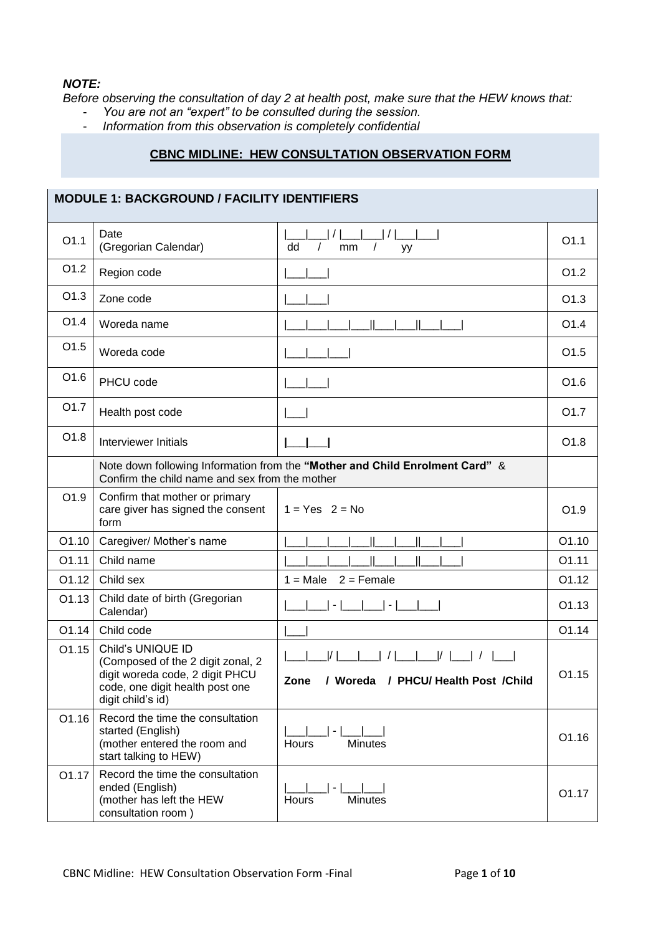## *NOTE:*

*Before observing the consultation of day 2 at health post, make sure that the HEW knows that:* 

- *You are not an "expert" to be consulted during the session.*
- *Information from this observation is completely confidential*

## **CBNC MIDLINE: HEW CONSULTATION OBSERVATION FORM**

|                  | <b>MODULE 1: BACKGROUND / FACILITY IDENTIFIERS</b>                                                                                                |                                                                                                                                     |                   |
|------------------|---------------------------------------------------------------------------------------------------------------------------------------------------|-------------------------------------------------------------------------------------------------------------------------------------|-------------------|
| O1.1             | Date<br>(Gregorian Calendar)                                                                                                                      | dd<br>$\sqrt{ }$<br>mm<br>yy                                                                                                        | O1.1              |
| O1.2             | Region code                                                                                                                                       |                                                                                                                                     | O1.2              |
| O1.3             | Zone code                                                                                                                                         |                                                                                                                                     | O1.3              |
| O1.4             | Woreda name                                                                                                                                       |                                                                                                                                     | O1.4              |
| O1.5             | Woreda code                                                                                                                                       |                                                                                                                                     | O1.5              |
| O1.6             | PHCU code                                                                                                                                         |                                                                                                                                     | O <sub>1.6</sub>  |
| O <sub>1.7</sub> | Health post code                                                                                                                                  |                                                                                                                                     | O <sub>1.7</sub>  |
| O1.8             | Interviewer Initials                                                                                                                              |                                                                                                                                     | O1.8              |
|                  | Confirm the child name and sex from the mother                                                                                                    | Note down following Information from the "Mother and Child Enrolment Card" &                                                        |                   |
| O1.9             | Confirm that mother or primary<br>care giver has signed the consent<br>form                                                                       | $1 = Yes$ 2 = No                                                                                                                    | O <sub>1.9</sub>  |
| O1.10            | Caregiver/ Mother's name                                                                                                                          |                                                                                                                                     | O1.10             |
| 01.11            | Child name                                                                                                                                        |                                                                                                                                     | O1.11             |
| 01.12            | Child sex                                                                                                                                         | $2 =$ Female<br>$1 = Male$                                                                                                          | 01.12             |
| 01.13            | Child date of birth (Gregorian<br>Calendar)                                                                                                       | $\blacksquare$                                                                                                                      | 01.13             |
| O1.14            | Child code                                                                                                                                        |                                                                                                                                     | O1.14             |
| 01.15            | Child's UNIQUE ID<br>(Composed of the 2 digit zonal, 2<br>digit woreda code, 2 digit PHCU<br>code, one digit health post one<br>digit child's id) | $\vert \vert \vert$ $\vert \vert$ $\vert$ $\vert$<br>$\frac{1}{1}$<br>$\frac{1}{2}$<br>/ Woreda / PHCU/ Health Post / Child<br>Zone | O <sub>1.15</sub> |
| O1.16            | Record the time the consultation<br>started (English)<br>(mother entered the room and<br>start talking to HEW)                                    | $\overline{\phantom{a}}$<br><b>Minutes</b><br>Hours                                                                                 | O1.16             |
| O1.17            | Record the time the consultation<br>ended (English)<br>(mother has left the HEW<br>consultation room)                                             | $\overline{\phantom{a}}$<br><b>Minutes</b><br>Hours                                                                                 | O1.17             |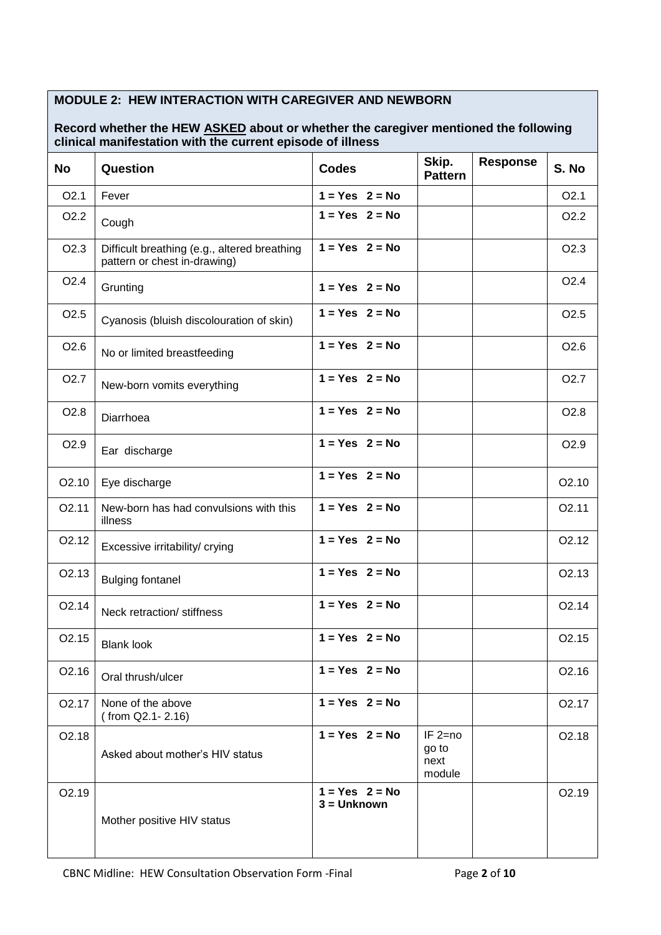## **MODULE 2: HEW INTERACTION WITH CAREGIVER AND NEWBORN**

## **Record whether the HEW ASKED about or whether the caregiver mentioned the following clinical manifestation with the current episode of illness**

| <b>No</b>         | Question                                                                     | <b>Codes</b>                      | Skip.<br><b>Pattern</b>              | <b>Response</b> | S. No              |
|-------------------|------------------------------------------------------------------------------|-----------------------------------|--------------------------------------|-----------------|--------------------|
| O2.1              | Fever                                                                        | $1 = Yes$ $2 = No$                |                                      |                 | O2.1               |
| O <sub>2.2</sub>  | Cough                                                                        | $1 = Yes$ 2 = No                  |                                      |                 | O <sub>2.2</sub>   |
| O <sub>2.3</sub>  | Difficult breathing (e.g., altered breathing<br>pattern or chest in-drawing) | $1 = Yes$ 2 = No                  |                                      |                 | O <sub>2.3</sub>   |
| O <sub>2.4</sub>  | Grunting                                                                     | $1 = Yes$ $2 = No$                |                                      |                 | O <sub>2.4</sub>   |
| O <sub>2.5</sub>  | Cyanosis (bluish discolouration of skin)                                     | $1 = Yes$ $2 = No$                |                                      |                 | O <sub>2.5</sub>   |
| O <sub>2.6</sub>  | No or limited breastfeeding                                                  | $1 = Yes$ $2 = No$                |                                      |                 | O <sub>2.6</sub>   |
| O <sub>2.7</sub>  | New-born vomits everything                                                   | $1 = Yes$ 2 = No                  |                                      |                 | O <sub>2.7</sub>   |
| O <sub>2.8</sub>  | Diarrhoea                                                                    | $1 = Yes$ $2 = No$                |                                      |                 | O <sub>2.8</sub>   |
| O <sub>2.9</sub>  | Ear discharge                                                                | $1 = Yes$ 2 = No                  |                                      |                 | O <sub>2.9</sub>   |
| O2.10             | Eye discharge                                                                | $1 = Yes$ $2 = No$                |                                      |                 | O <sub>2.10</sub>  |
| O <sub>2.11</sub> | New-born has had convulsions with this<br>illness                            | $1 = Yes$ $2 = No$                |                                      |                 | O2.11              |
| O <sub>2.12</sub> | Excessive irritability/ crying                                               | $1 = Yes$ $2 = No$                |                                      |                 | O <sub>2</sub> .12 |
| O <sub>2.13</sub> | <b>Bulging fontanel</b>                                                      | $1 = Yes$ 2 = No                  |                                      |                 | O <sub>2.13</sub>  |
| O <sub>2.14</sub> | Neck retraction/ stiffness                                                   | $1 = Yes$ 2 = No                  |                                      |                 | O <sub>2.14</sub>  |
| O <sub>2.15</sub> | <b>Blank look</b>                                                            | $1 = Yes$ $2 = No$                |                                      |                 | O <sub>2.15</sub>  |
| O2.16             | Oral thrush/ulcer                                                            | $1 = Yes$ 2 = No                  |                                      |                 | O <sub>2.16</sub>  |
| O <sub>2.17</sub> | None of the above<br>(from Q2.1-2.16)                                        | $1 = Yes$ 2 = No                  |                                      |                 | O <sub>2.17</sub>  |
| O2.18             | Asked about mother's HIV status                                              | $1 = Yes$ $2 = No$                | $IF 2=no$<br>go to<br>next<br>module |                 | O2.18              |
| O2.19             | Mother positive HIV status                                                   | $1 = Yes$ 2 = No<br>$3 = Unknown$ |                                      |                 | O2.19              |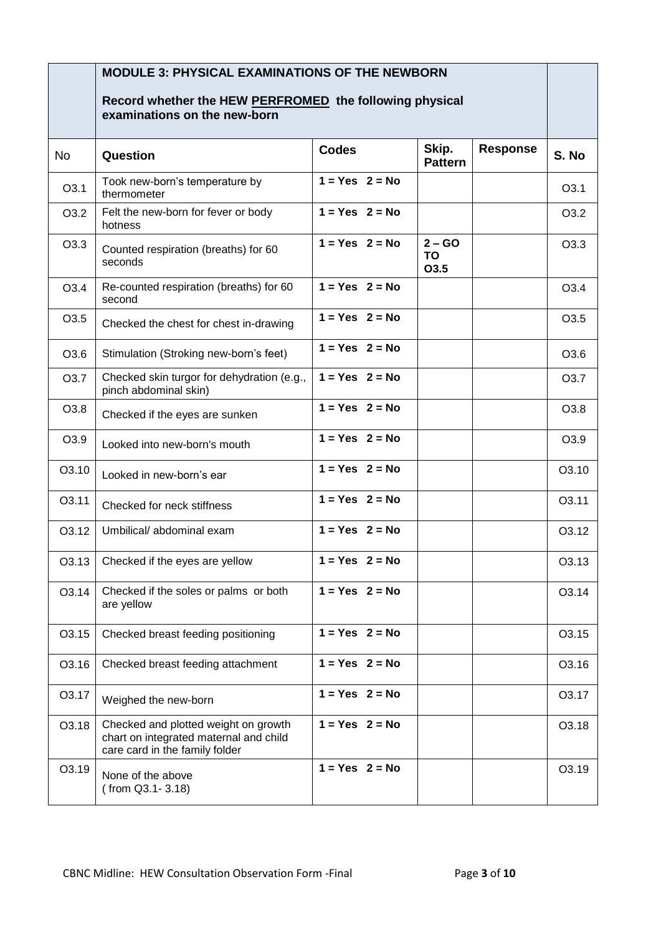|           | <b>MODULE 3: PHYSICAL EXAMINATIONS OF THE NEWBORN</b>                                                            |                    |                               |                 |                  |
|-----------|------------------------------------------------------------------------------------------------------------------|--------------------|-------------------------------|-----------------|------------------|
|           | Record whether the HEW PERFROMED the following physical<br>examinations on the new-born                          |                    |                               |                 |                  |
| <b>No</b> | Question                                                                                                         | <b>Codes</b>       | Skip.<br><b>Pattern</b>       | <b>Response</b> | S. No            |
| O3.1      | Took new-born's temperature by<br>thermometer                                                                    | $1 = Yes$ 2 = No   |                               |                 | O <sub>3.1</sub> |
| O3.2      | Felt the new-born for fever or body<br>hotness                                                                   | $1 = Yes$ $2 = No$ |                               |                 | O3.2             |
| O3.3      | Counted respiration (breaths) for 60<br>seconds                                                                  | $1 = Yes$ 2 = No   | $2 - GO$<br><b>TO</b><br>O3.5 |                 | O3.3             |
| O3.4      | Re-counted respiration (breaths) for 60<br>second                                                                | $1 = Yes$ 2 = No   |                               |                 | O3.4             |
| O3.5      | Checked the chest for chest in-drawing                                                                           | $1 = Yes$ $2 = No$ |                               |                 | O <sub>3.5</sub> |
| O3.6      | Stimulation (Stroking new-born's feet)                                                                           | $1 = Yes$ $2 = No$ |                               |                 | O <sub>3.6</sub> |
| O3.7      | Checked skin turgor for dehydration (e.g.,<br>pinch abdominal skin)                                              | $1 = Yes$ 2 = No   |                               |                 | O3.7             |
| O3.8      | Checked if the eyes are sunken                                                                                   | $1 = Yes$ $2 = No$ |                               |                 | O <sub>3.8</sub> |
| O3.9      | Looked into new-born's mouth                                                                                     | $1 = Yes$ 2 = No   |                               |                 | O3.9             |
| O3.10     | Looked in new-born's ear                                                                                         | $1 = Yes$ 2 = No   |                               |                 | O3.10            |
| O3.11     | Checked for neck stiffness                                                                                       | $1 = Yes$ $2 = No$ |                               |                 | O3.11            |
| O3.12     | Umbilical/abdominal exam                                                                                         | $1 = Yes$ 2 = No   |                               |                 | O3.12            |
| O3.13     | Checked if the eyes are yellow                                                                                   | $1 = Yes$ 2 = No   |                               |                 | O3.13            |
| O3.14     | Checked if the soles or palms or both<br>are yellow                                                              | $1 = Yes$ 2 = No   |                               |                 | O3.14            |
| O3.15     | Checked breast feeding positioning                                                                               | $1 = Yes$ $2 = No$ |                               |                 | O3.15            |
| O3.16     | Checked breast feeding attachment                                                                                | $1 = Yes$ $2 = No$ |                               |                 | O3.16            |
| 03.17     | Weighed the new-born                                                                                             | $1 = Yes$ 2 = No   |                               |                 | O3.17            |
| O3.18     | Checked and plotted weight on growth<br>chart on integrated maternal and child<br>care card in the family folder | $1 = Yes$ $2 = No$ |                               |                 | O3.18            |
| O3.19     | None of the above<br>(from Q3.1-3.18)                                                                            | $1 = Yes$ $2 = No$ |                               |                 | O3.19            |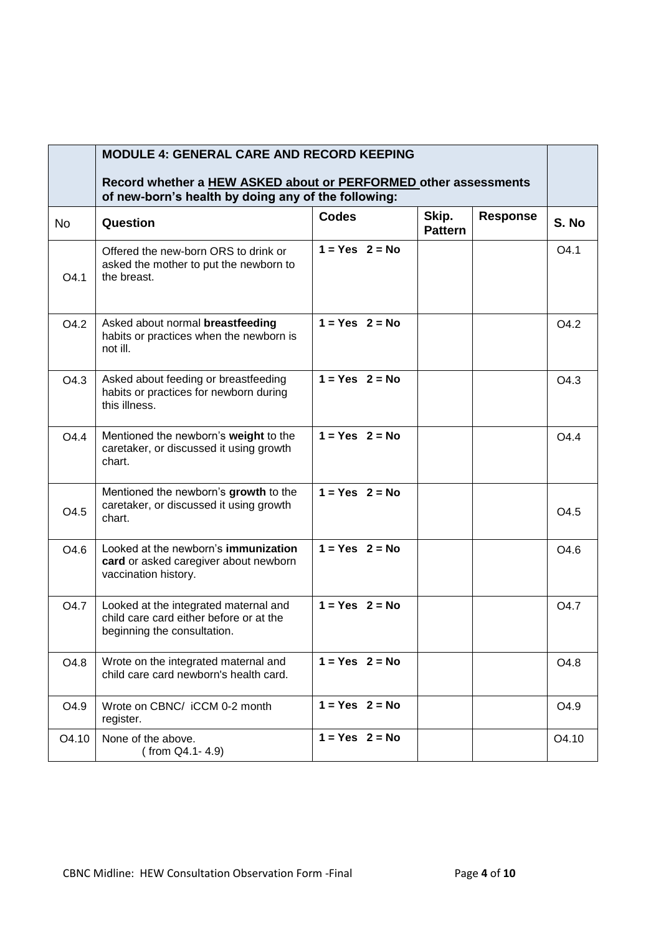|           | <b>MODULE 4: GENERAL CARE AND RECORD KEEPING</b><br>Record whether a <b>HEW ASKED about or PERFORMED</b> other assessments |                    |                         |                 |                  |
|-----------|----------------------------------------------------------------------------------------------------------------------------|--------------------|-------------------------|-----------------|------------------|
|           | of new-born's health by doing any of the following:                                                                        |                    |                         |                 |                  |
| <b>No</b> | Question                                                                                                                   | <b>Codes</b>       | Skip.<br><b>Pattern</b> | <b>Response</b> | S. No            |
| O4.1      | Offered the new-born ORS to drink or<br>asked the mother to put the newborn to<br>the breast.                              | $1 = Yes$ 2 = No   |                         |                 | O <sub>4.1</sub> |
| O4.2      | Asked about normal breastfeeding<br>habits or practices when the newborn is<br>not ill.                                    | $1 = Yes$ $2 = No$ |                         |                 | O4.2             |
| O4.3      | Asked about feeding or breastfeeding<br>habits or practices for newborn during<br>this illness.                            | $1 = Yes$ $2 = No$ |                         |                 | O4.3             |
| O4.4      | Mentioned the newborn's weight to the<br>caretaker, or discussed it using growth<br>chart.                                 | $1 = Yes$ 2 = No   |                         |                 | O <sub>4.4</sub> |
| O4.5      | Mentioned the newborn's growth to the<br>caretaker, or discussed it using growth<br>chart.                                 | $1 = Yes$ 2 = No   |                         |                 | O <sub>4.5</sub> |
| O4.6      | Looked at the newborn's immunization<br>card or asked caregiver about newborn<br>vaccination history.                      | $1 = Yes$ 2 = No   |                         |                 | O4.6             |
| O4.7      | Looked at the integrated maternal and<br>child care card either before or at the<br>beginning the consultation.            | $1 = Yes$ 2 = No   |                         |                 | O <sub>4.7</sub> |
| O4.8      | Wrote on the integrated maternal and<br>child care card newborn's health card.                                             | $1 = Yes$ $2 = No$ |                         |                 | O4.8             |
| O4.9      | Wrote on CBNC/ iCCM 0-2 month<br>register.                                                                                 | $1 = Yes$ $2 = No$ |                         |                 | O4.9             |
| O4.10     | None of the above.<br>(from Q4.1-4.9)                                                                                      | $1 = Yes$ 2 = No   |                         |                 | O4.10            |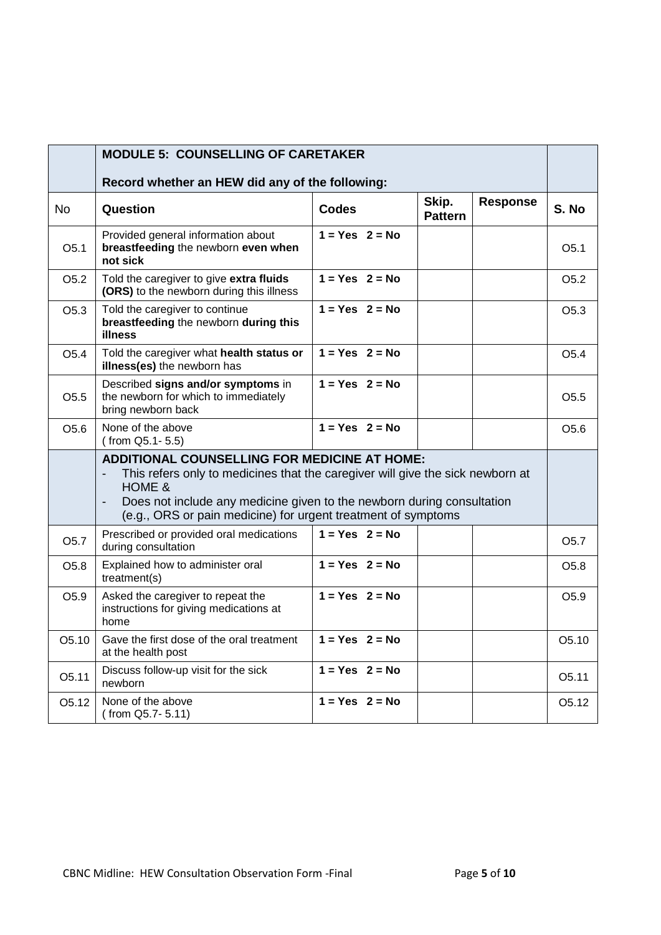|                    | <b>MODULE 5: COUNSELLING OF CARETAKER</b>                                                                                                                                                                                                                                                                                         |                    |                         |                 |                    |
|--------------------|-----------------------------------------------------------------------------------------------------------------------------------------------------------------------------------------------------------------------------------------------------------------------------------------------------------------------------------|--------------------|-------------------------|-----------------|--------------------|
|                    | Record whether an HEW did any of the following:                                                                                                                                                                                                                                                                                   |                    |                         |                 |                    |
| <b>No</b>          | Question                                                                                                                                                                                                                                                                                                                          | <b>Codes</b>       | Skip.<br><b>Pattern</b> | <b>Response</b> | S. No              |
| O <sub>5.1</sub>   | Provided general information about<br>breastfeeding the newborn even when<br>not sick                                                                                                                                                                                                                                             | $1 = Yes$ 2 = No   |                         |                 | O <sub>5.1</sub>   |
| O <sub>5.2</sub>   | Told the caregiver to give extra fluids<br>(ORS) to the newborn during this illness                                                                                                                                                                                                                                               | $1 = Yes$ $2 = No$ |                         |                 | O <sub>5.2</sub>   |
| O <sub>5.3</sub>   | Told the caregiver to continue<br>breastfeeding the newborn during this<br>illness                                                                                                                                                                                                                                                | $1 = Yes$ 2 = No   |                         |                 | O <sub>5.3</sub>   |
| O <sub>5.4</sub>   | Told the caregiver what health status or<br>illness(es) the newborn has                                                                                                                                                                                                                                                           | $1 = Yes$ 2 = No   |                         |                 | O <sub>5.4</sub>   |
| O <sub>5.5</sub>   | Described signs and/or symptoms in<br>the newborn for which to immediately<br>bring newborn back                                                                                                                                                                                                                                  | $1 = Yes$ $2 = No$ |                         |                 | O <sub>5.5</sub>   |
| O <sub>5.6</sub>   | None of the above<br>(from Q5.1-5.5)                                                                                                                                                                                                                                                                                              | $1 = Yes$ $2 = No$ |                         |                 | O <sub>5.6</sub>   |
|                    | <b>ADDITIONAL COUNSELLING FOR MEDICINE AT HOME:</b><br>This refers only to medicines that the caregiver will give the sick newborn at<br><b>HOME &amp;</b><br>Does not include any medicine given to the newborn during consultation<br>$\overline{\phantom{a}}$<br>(e.g., ORS or pain medicine) for urgent treatment of symptoms |                    |                         |                 |                    |
| O <sub>5.7</sub>   | Prescribed or provided oral medications<br>during consultation                                                                                                                                                                                                                                                                    | $1 = Yes$ 2 = No   |                         |                 | O <sub>5.7</sub>   |
| O <sub>5.8</sub>   | Explained how to administer oral<br>treatment(s)                                                                                                                                                                                                                                                                                  | $1 = Yes$ $2 = No$ |                         |                 | O <sub>5.8</sub>   |
| O5.9               | Asked the caregiver to repeat the<br>instructions for giving medications at<br>home                                                                                                                                                                                                                                               | $1 = Yes$ $2 = No$ |                         |                 | O <sub>5.9</sub>   |
| O5.10              | Gave the first dose of the oral treatment<br>at the health post                                                                                                                                                                                                                                                                   | $1 = Yes$ 2 = No   |                         |                 | O5.10              |
| O5.11              | Discuss follow-up visit for the sick<br>newborn                                                                                                                                                                                                                                                                                   | $1 = Yes$ 2 = No   |                         |                 | O5.11              |
| O <sub>5</sub> .12 | None of the above<br>(from Q5.7-5.11)                                                                                                                                                                                                                                                                                             | $1 = Yes$ 2 = No   |                         |                 | O <sub>5</sub> .12 |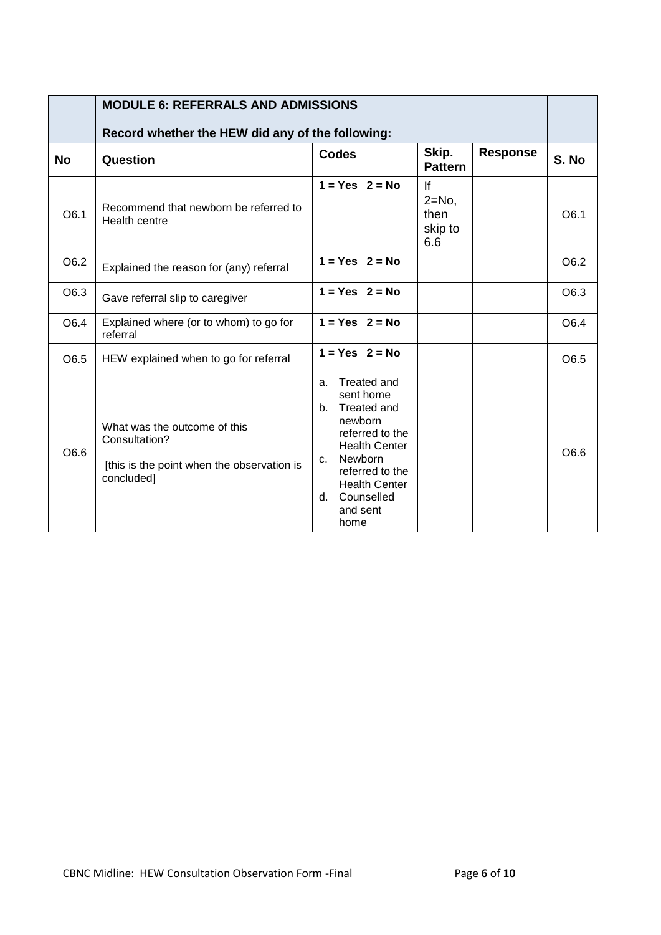|           | <b>MODULE 6: REFERRALS AND ADMISSIONS</b>                                                                 |                                                                                                                                                                                                                   |                                            |                 |       |
|-----------|-----------------------------------------------------------------------------------------------------------|-------------------------------------------------------------------------------------------------------------------------------------------------------------------------------------------------------------------|--------------------------------------------|-----------------|-------|
|           | Record whether the HEW did any of the following:                                                          |                                                                                                                                                                                                                   |                                            |                 |       |
| <b>No</b> | Question                                                                                                  | <b>Codes</b>                                                                                                                                                                                                      | Skip.<br><b>Pattern</b>                    | <b>Response</b> | S. No |
| O6.1      | Recommend that newborn be referred to<br>Health centre                                                    | $1 = Yes$ $2 = No$                                                                                                                                                                                                | If<br>$2 = No$ ,<br>then<br>skip to<br>6.6 |                 | O6.1  |
| O6.2      | Explained the reason for (any) referral                                                                   | $1 = Yes$ 2 = No                                                                                                                                                                                                  |                                            |                 | O6.2  |
| O6.3      | Gave referral slip to caregiver                                                                           | $1 = Yes$ $2 = No$                                                                                                                                                                                                |                                            |                 | O6.3  |
| O6.4      | Explained where (or to whom) to go for<br>referral                                                        | $1 = Yes$ 2 = No                                                                                                                                                                                                  |                                            |                 | O6.4  |
| O6.5      | HEW explained when to go for referral                                                                     | $1 = Yes$ $2 = No$                                                                                                                                                                                                |                                            |                 | O6.5  |
| O6.6      | What was the outcome of this<br>Consultation?<br>[this is the point when the observation is<br>concluded] | <b>Treated and</b><br>a.<br>sent home<br>b. Treated and<br>newborn<br>referred to the<br><b>Health Center</b><br>Newborn<br>C.<br>referred to the<br><b>Health Center</b><br>Counselled<br>d.<br>and sent<br>home |                                            |                 | O6.6  |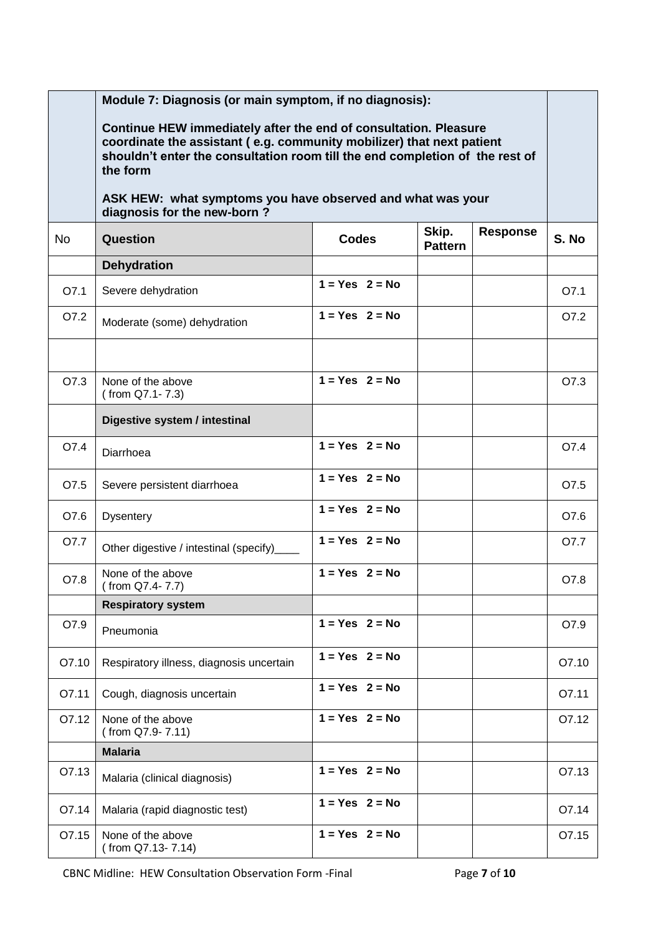|           | Module 7: Diagnosis (or main symptom, if no diagnosis):                                                                                                                                                                               |                    |                         |                 |       |
|-----------|---------------------------------------------------------------------------------------------------------------------------------------------------------------------------------------------------------------------------------------|--------------------|-------------------------|-----------------|-------|
|           | Continue HEW immediately after the end of consultation. Pleasure<br>coordinate the assistant (e.g. community mobilizer) that next patient<br>shouldn't enter the consultation room till the end completion of the rest of<br>the form |                    |                         |                 |       |
|           | ASK HEW: what symptoms you have observed and what was your<br>diagnosis for the new-born?                                                                                                                                             |                    |                         |                 |       |
| <b>No</b> | Question                                                                                                                                                                                                                              | <b>Codes</b>       | Skip.<br><b>Pattern</b> | <b>Response</b> | S. No |
|           | <b>Dehydration</b>                                                                                                                                                                                                                    |                    |                         |                 |       |
| O7.1      | Severe dehydration                                                                                                                                                                                                                    | $1 = Yes$ 2 = No   |                         |                 | O7.1  |
| O7.2      | Moderate (some) dehydration                                                                                                                                                                                                           | $1 = Yes$ 2 = No   |                         |                 | O7.2  |
|           |                                                                                                                                                                                                                                       |                    |                         |                 |       |
| O7.3      | None of the above<br>(from Q7.1-7.3)                                                                                                                                                                                                  | $1 = Yes$ 2 = No   |                         |                 | O7.3  |
|           | Digestive system / intestinal                                                                                                                                                                                                         |                    |                         |                 |       |
| O7.4      | Diarrhoea                                                                                                                                                                                                                             | $1 = Yes$ $2 = No$ |                         |                 | O7.4  |
| O7.5      | Severe persistent diarrhoea                                                                                                                                                                                                           | $1 = Yes$ 2 = No   |                         |                 | O7.5  |
| O7.6      | <b>Dysentery</b>                                                                                                                                                                                                                      | $1 = Yes$ 2 = No   |                         |                 | O7.6  |
| O7.7      | Other digestive / intestinal (specify)_                                                                                                                                                                                               | $1 = Yes$ 2 = No   |                         |                 | O7.7  |
| O7.8      | None of the above<br>$( from Q7.4-7.7)$                                                                                                                                                                                               | $1 = Yes$ $2 = No$ |                         |                 | O7.8  |
|           | <b>Respiratory system</b>                                                                                                                                                                                                             |                    |                         |                 |       |
| O7.9      | Pneumonia                                                                                                                                                                                                                             | $1 = Yes$ 2 = No   |                         |                 | O7.9  |
| O7.10     | Respiratory illness, diagnosis uncertain                                                                                                                                                                                              | $1 = Yes$ 2 = No   |                         |                 | O7.10 |
| O7.11     | Cough, diagnosis uncertain                                                                                                                                                                                                            | $1 = Yes$ $2 = No$ |                         |                 | O7.11 |
| O7.12     | None of the above<br>(from Q7.9-7.11)                                                                                                                                                                                                 | $1 = Yes$ 2 = No   |                         |                 | O7.12 |
|           | <b>Malaria</b>                                                                                                                                                                                                                        |                    |                         |                 |       |
| O7.13     | Malaria (clinical diagnosis)                                                                                                                                                                                                          | $1 = Yes$ 2 = No   |                         |                 | O7.13 |
| O7.14     | Malaria (rapid diagnostic test)                                                                                                                                                                                                       | $1 = Yes$ 2 = No   |                         |                 | O7.14 |
| O7.15     | None of the above<br>(from Q7.13-7.14)                                                                                                                                                                                                | $1 = Yes$ 2 = No   |                         |                 | O7.15 |

CBNC Midline: HEW Consultation Observation Form -Final Page **7** of **10**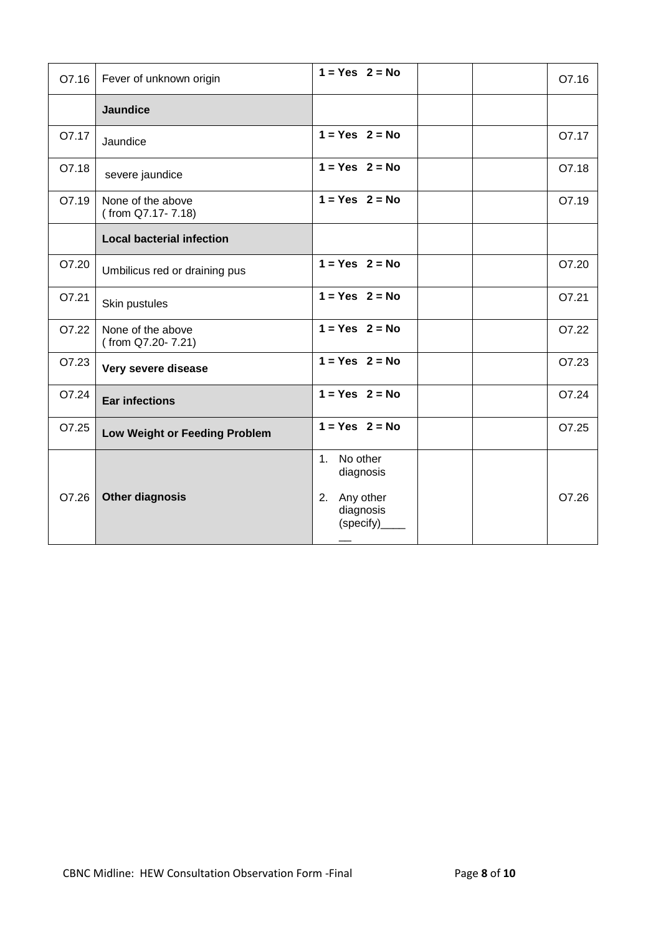| O7.16 | Fever of unknown origin                | $1 = Yes$ $2 = No$                                                    | O7.16 |
|-------|----------------------------------------|-----------------------------------------------------------------------|-------|
|       | <b>Jaundice</b>                        |                                                                       |       |
| O7.17 | Jaundice                               | $1 = Yes$ 2 = No                                                      | O7.17 |
| O7.18 | severe jaundice                        | $1 = Yes$ $2 = No$                                                    | O7.18 |
| O7.19 | None of the above<br>(from Q7.17-7.18) | $1 = Yes$ 2 = No                                                      | O7.19 |
|       | <b>Local bacterial infection</b>       |                                                                       |       |
| O7.20 | Umbilicus red or draining pus          | $1 = Yes$ $2 = No$                                                    | O7.20 |
| O7.21 | Skin pustules                          | $1 = Yes$ $2 = No$                                                    | O7.21 |
| O7.22 | None of the above<br>(from Q7.20-7.21) | $1 = Yes$ $2 = No$                                                    | O7.22 |
| O7.23 | Very severe disease                    | $1 = Yes$ $2 = No$                                                    | O7.23 |
| O7.24 | <b>Ear infections</b>                  | $1 = Yes$ $2 = No$                                                    | O7.24 |
| O7.25 | Low Weight or Feeding Problem          | $1 = Yes$ $2 = No$                                                    | O7.25 |
| O7.26 | <b>Other diagnosis</b>                 | 1. No other<br>diagnosis<br>Any other<br>2.<br>diagnosis<br>(specify) | O7.26 |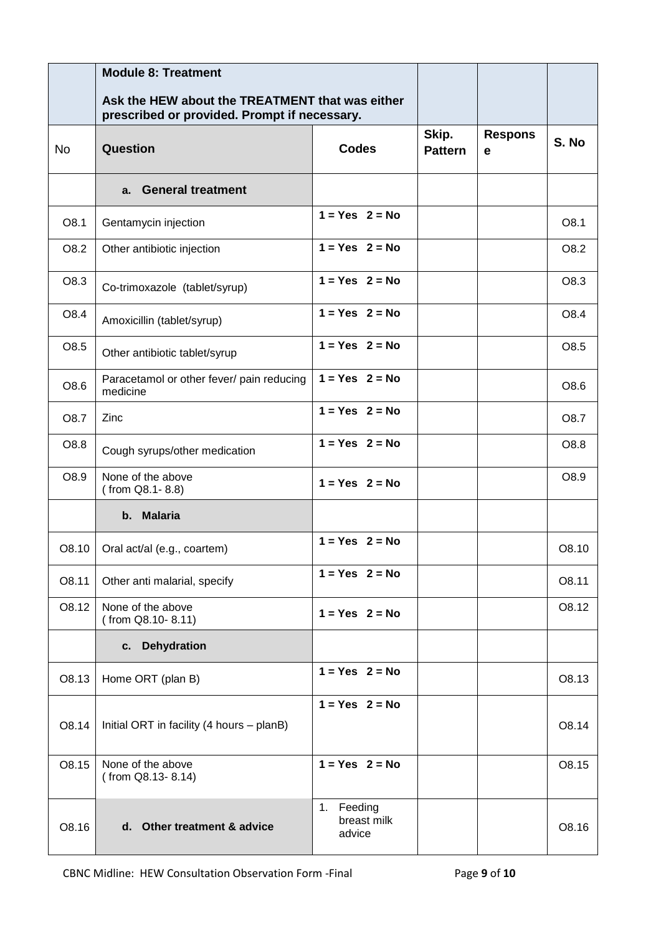|           | <b>Module 8: Treatment</b>                                                                      |                                        |                         |                     |       |
|-----------|-------------------------------------------------------------------------------------------------|----------------------------------------|-------------------------|---------------------|-------|
|           | Ask the HEW about the TREATMENT that was either<br>prescribed or provided. Prompt if necessary. |                                        |                         |                     |       |
| <b>No</b> | Question                                                                                        | <b>Codes</b>                           | Skip.<br><b>Pattern</b> | <b>Respons</b><br>e | S. No |
|           | a. General treatment                                                                            |                                        |                         |                     |       |
| O8.1      | Gentamycin injection                                                                            | $1 = Yes$ 2 = No                       |                         |                     | O8.1  |
| O8.2      | Other antibiotic injection                                                                      | $1 = Yes$ 2 = No                       |                         |                     | O8.2  |
| O8.3      | Co-trimoxazole (tablet/syrup)                                                                   | $1 = Yes$ $2 = No$                     |                         |                     | O8.3  |
| O8.4      | Amoxicillin (tablet/syrup)                                                                      | $1 = Yes$ $2 = No$                     |                         |                     | O8.4  |
| O8.5      | Other antibiotic tablet/syrup                                                                   | $1 = Yes$ $2 = No$                     |                         |                     | O8.5  |
| O8.6      | Paracetamol or other fever/ pain reducing<br>medicine                                           | $1 = Yes$ 2 = No                       |                         |                     | O8.6  |
| O8.7      | Zinc                                                                                            | $1 = Yes$ 2 = No                       |                         |                     | O8.7  |
| O8.8      | Cough syrups/other medication                                                                   | $1 = Yes$ 2 = No                       |                         |                     | O8.8  |
| O8.9      | None of the above<br>$( from Q8.1 - 8.8)$                                                       | $1 = Yes$ 2 = No                       |                         |                     | O8.9  |
|           | b. Malaria                                                                                      |                                        |                         |                     |       |
| O8.10     | Oral act/al (e.g., coartem)                                                                     | $1 = Yes$ 2 = No                       |                         |                     | O8.10 |
| O8.11     | Other anti malarial, specify                                                                    | $1 = Yes$ 2 = No                       |                         |                     | O8.11 |
| O8.12     | None of the above<br>(from Q8.10-8.11)                                                          | $1 = Yes$ 2 = No                       |                         |                     | O8.12 |
|           | <b>Dehydration</b><br>C.                                                                        |                                        |                         |                     |       |
| O8.13     | Home ORT (plan B)                                                                               | $1 = Yes$ 2 = No                       |                         |                     | O8.13 |
| O8.14     | Initial ORT in facility (4 hours - planB)                                                       | $1 = Yes$ 2 = No                       |                         |                     | O8.14 |
| O8.15     | None of the above<br>(from Q8.13-8.14)                                                          | $1 = Yes$ 2 = No                       |                         |                     | O8.15 |
| O8.16     | d. Other treatment & advice                                                                     | 1.<br>Feeding<br>breast milk<br>advice |                         |                     | O8.16 |

CBNC Midline: HEW Consultation Observation Form -Final Page **9** of **10**